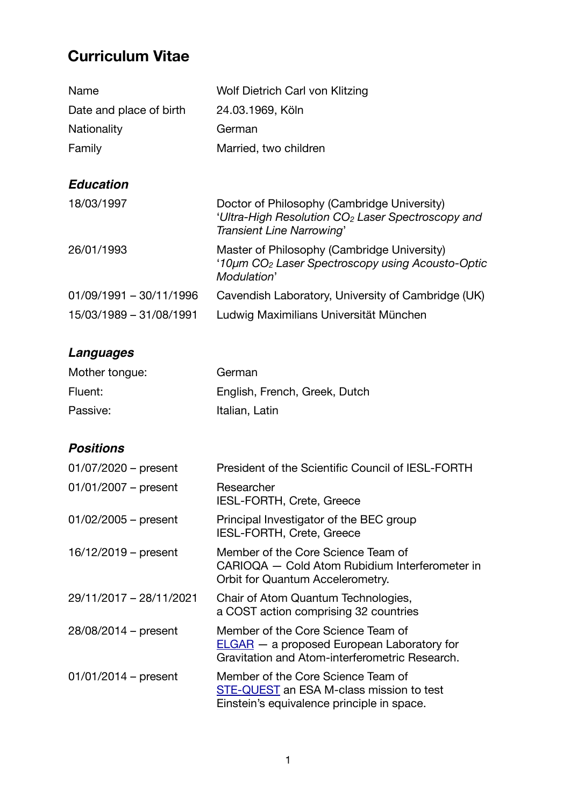# **Curriculum Vitae**

| Name                      | Wolf Dietrich Carl von Klitzing                                                                                                           |
|---------------------------|-------------------------------------------------------------------------------------------------------------------------------------------|
| Date and place of birth   | 24.03.1969, Köln                                                                                                                          |
| Nationality               | German                                                                                                                                    |
| Family                    | Married, two children                                                                                                                     |
|                           |                                                                                                                                           |
| <b>Education</b>          |                                                                                                                                           |
| 18/03/1997                | Doctor of Philosophy (Cambridge University)<br>'Ultra-High Resolution CO <sub>2</sub> Laser Spectroscopy and<br>Transient Line Narrowing' |
| 26/01/1993                | Master of Philosophy (Cambridge University)<br>'10µm CO <sub>2</sub> Laser Spectroscopy using Acousto-Optic<br>Modulation'                |
| $01/09/1991 - 30/11/1996$ | Cavendish Laboratory, University of Cambridge (UK)                                                                                        |
| 15/03/1989 - 31/08/1991   | Ludwig Maximilians Universität München                                                                                                    |

# *Languages*

| Mother tongue: | German                        |
|----------------|-------------------------------|
| Fluent:        | English, French, Greek, Dutch |
| Passive:       | Italian, Latin                |

## *Positions*

| $01/07/2020$ – present  | President of the Scientific Council of IESL-FORTH                                                                                    |
|-------------------------|--------------------------------------------------------------------------------------------------------------------------------------|
| $01/01/2007$ – present  | Researcher<br><b>IESL-FORTH, Crete, Greece</b>                                                                                       |
| $01/02/2005$ – present  | Principal Investigator of the BEC group<br>IESL-FORTH, Crete, Greece                                                                 |
| $16/12/2019$ – present  | Member of the Core Science Team of<br>CARIOQA — Cold Atom Rubidium Interferometer in<br>Orbit for Quantum Accelerometry.             |
| 29/11/2017 - 28/11/2021 | Chair of Atom Quantum Technologies,<br>a COST action comprising 32 countries                                                         |
| 28/08/2014 – present    | Member of the Core Science Team of<br>$ELGAR - a$ proposed European Laboratory for<br>Gravitation and Atom-interferometric Research. |
| $01/01/2014$ – present  | Member of the Core Science Team of<br>STE-QUEST an ESA M-class mission to test<br>Einstein's equivalence principle in space.         |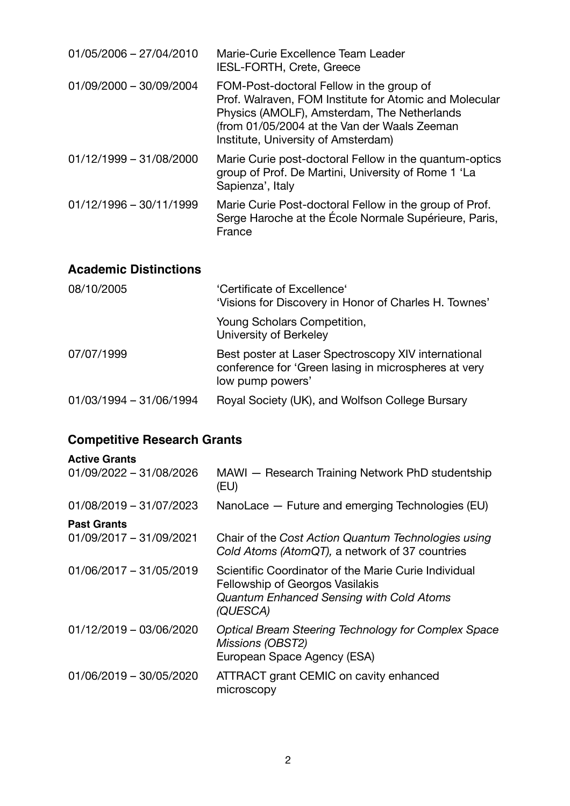| $01/05/2006 - 27/04/2010$ | Marie-Curie Excellence Team Leader<br><b>IESL-FORTH, Crete, Greece</b>                                                                                                                                                                   |
|---------------------------|------------------------------------------------------------------------------------------------------------------------------------------------------------------------------------------------------------------------------------------|
| 01/09/2000 - 30/09/2004   | FOM-Post-doctoral Fellow in the group of<br>Prof. Walraven, FOM Institute for Atomic and Molecular<br>Physics (AMOLF), Amsterdam, The Netherlands<br>(from 01/05/2004 at the Van der Waals Zeeman<br>Institute, University of Amsterdam) |
| $01/12/1999 - 31/08/2000$ | Marie Curie post-doctoral Fellow in the quantum-optics<br>group of Prof. De Martini, University of Rome 1 'La<br>Sapienza', Italy                                                                                                        |
| $01/12/1996 - 30/11/1999$ | Marie Curie Post-doctoral Fellow in the group of Prof.<br>Serge Haroche at the École Normale Supérieure, Paris,<br>France                                                                                                                |

## **Academic Distinctions**

| 08/10/2005              | 'Certificate of Excellence'<br>'Visions for Discovery in Honor of Charles H. Townes'                                            |
|-------------------------|---------------------------------------------------------------------------------------------------------------------------------|
|                         | Young Scholars Competition,<br>University of Berkeley                                                                           |
| 07/07/1999              | Best poster at Laser Spectroscopy XIV international<br>conference for 'Green lasing in microspheres at very<br>low pump powers' |
| 01/03/1994 - 31/06/1994 | Royal Society (UK), and Wolfson College Bursary                                                                                 |

# **Competitive Research Grants**

| <b>Active Grants</b>    |                                                                                                                                                        |
|-------------------------|--------------------------------------------------------------------------------------------------------------------------------------------------------|
| 01/09/2022 - 31/08/2026 | MAWI - Research Training Network PhD studentship<br>(EU)                                                                                               |
| 01/08/2019 - 31/07/2023 | NanoLace - Future and emerging Technologies (EU)                                                                                                       |
| <b>Past Grants</b>      |                                                                                                                                                        |
| 01/09/2017 - 31/09/2021 | Chair of the Cost Action Quantum Technologies using<br>Cold Atoms (AtomQT), a network of 37 countries                                                  |
| 01/06/2017 - 31/05/2019 | Scientific Coordinator of the Marie Curie Individual<br>Fellowship of Georgos Vasilakis<br><b>Quantum Enhanced Sensing with Cold Atoms</b><br>(QUESCA) |
| 01/12/2019 - 03/06/2020 | Optical Bream Steering Technology for Complex Space<br>Missions (OBST2)<br>European Space Agency (ESA)                                                 |
| 01/06/2019 - 30/05/2020 | ATTRACT grant CEMIC on cavity enhanced<br>microscopy                                                                                                   |
|                         |                                                                                                                                                        |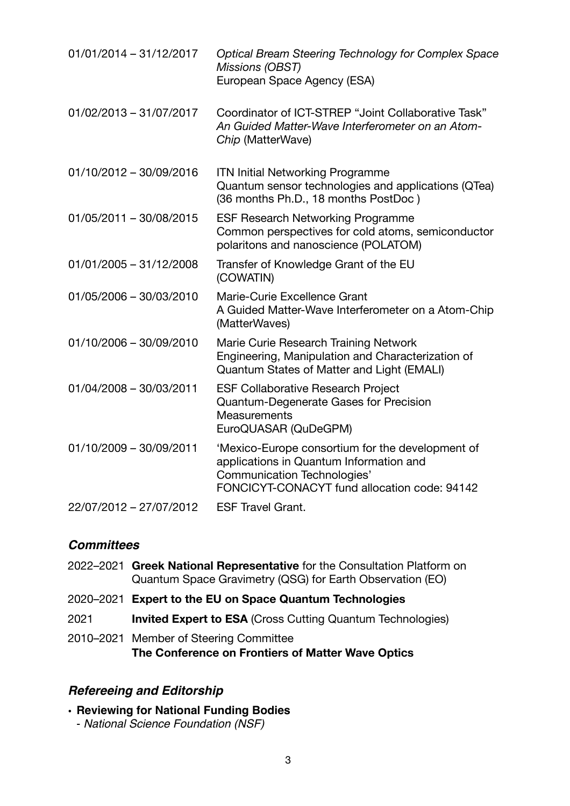| $01/01/2014 - 31/12/2017$ | <b>Optical Bream Steering Technology for Complex Space</b><br>Missions (OBST)<br>European Space Agency (ESA)                                                                      |
|---------------------------|-----------------------------------------------------------------------------------------------------------------------------------------------------------------------------------|
| 01/02/2013 - 31/07/2017   | Coordinator of ICT-STREP "Joint Collaborative Task"<br>An Guided Matter-Wave Interferometer on an Atom-<br>Chip (MatterWave)                                                      |
| 01/10/2012 - 30/09/2016   | <b>ITN Initial Networking Programme</b><br>Quantum sensor technologies and applications (QTea)<br>(36 months Ph.D., 18 months PostDoc)                                            |
| 01/05/2011 - 30/08/2015   | <b>ESF Research Networking Programme</b><br>Common perspectives for cold atoms, semiconductor<br>polaritons and nanoscience (POLATOM)                                             |
| $01/01/2005 - 31/12/2008$ | Transfer of Knowledge Grant of the EU<br>(COWATIN)                                                                                                                                |
| 01/05/2006 - 30/03/2010   | Marie-Curie Excellence Grant<br>A Guided Matter-Wave Interferometer on a Atom-Chip<br>(MatterWaves)                                                                               |
| 01/10/2006 - 30/09/2010   | Marie Curie Research Training Network<br>Engineering, Manipulation and Characterization of<br>Quantum States of Matter and Light (EMALI)                                          |
| 01/04/2008 - 30/03/2011   | <b>ESF Collaborative Research Project</b><br>Quantum-Degenerate Gases for Precision<br><b>Measurements</b><br>EuroQUASAR (QuDeGPM)                                                |
| 01/10/2009 - 30/09/2011   | 'Mexico-Europe consortium for the development of<br>applications in Quantum Information and<br><b>Communication Technologies'</b><br>FONCICYT-CONACYT fund allocation code: 94142 |
| 22/07/2012 - 27/07/2012   | <b>ESF Travel Grant.</b>                                                                                                                                                          |

### *Committees*

- 2022–2021 **Greek National Representative** for the Consultation Platform on Quantum Space Gravimetry (QSG) for Earth Observation (EO)
- 2020–2021 **Expert to the EU on Space Quantum Technologies**
- 2021 **Invited Expert to ESA** (Cross Cutting Quantum Technologies)
- 2010–2021 Member of Steering Committee **The Conference on Frontiers of Matter Wave Optics**

### *Refereeing and Editorship*

- **Reviewing for National Funding Bodies**
	- *National Science Foundation (NSF)*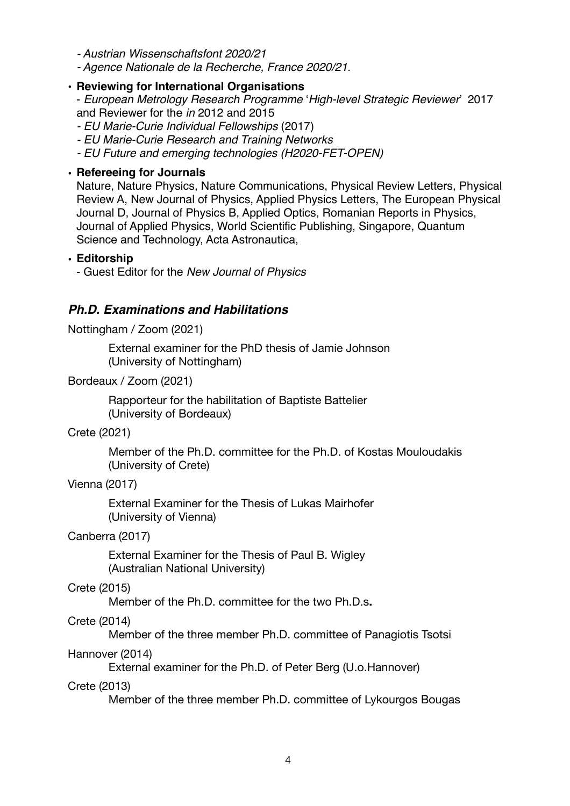*- Austrian Wissenschaftsfont 2020/21*

*- Agence Nationale de la Recherche, France 2020/21.*

#### • **Reviewing for International Organisations**

- *European Metrology Research Programme* '*High-level Strategic Reviewer*' 2017 and Reviewer for the *in* 2012 and 2015

- *EU Marie-Curie Individual Fellowships* (2017)
- *EU Marie-Curie Research and Training Networks*
- *EU Future and emerging technologies (H2020-FET-OPEN)*

#### • **Refereeing for Journals**

Nature, Nature Physics, Nature Communications, Physical Review Letters, Physical Review A, New Journal of Physics, Applied Physics Letters, The European Physical Journal D, Journal of Physics B, Applied Optics, Romanian Reports in Physics, Journal of Applied Physics, World Scientific Publishing, Singapore, Quantum Science and Technology, Acta Astronautica,

#### • **Editorship**

- Guest Editor for the *New Journal of Physics*

## *Ph.D. Examinations and Habilitations*

Nottingham / Zoom (2021)

External examiner for the PhD thesis of Jamie Johnson (University of Nottingham)

Bordeaux / Zoom (2021)

Rapporteur for the habilitation of Baptiste Battelier (University of Bordeaux)

Crete (2021)

Member of the Ph.D. committee for the Ph.D. of Kostas Mouloudakis (University of Crete)

#### Vienna (2017)

External Examiner for the Thesis of Lukas Mairhofer (University of Vienna)

#### Canberra (2017)

External Examiner for the Thesis of Paul B. Wigley (Australian National University)

#### Crete (2015)

Member of the Ph.D. committee for the two Ph.D.s**.**

### Crete (2014)

Member of the three member Ph.D. committee of Panagiotis Tsotsi

Hannover (2014)

External examiner for the Ph.D. of Peter Berg (U.o.Hannover)

#### Crete (2013)

Member of the three member Ph.D. committee of Lykourgos Bougas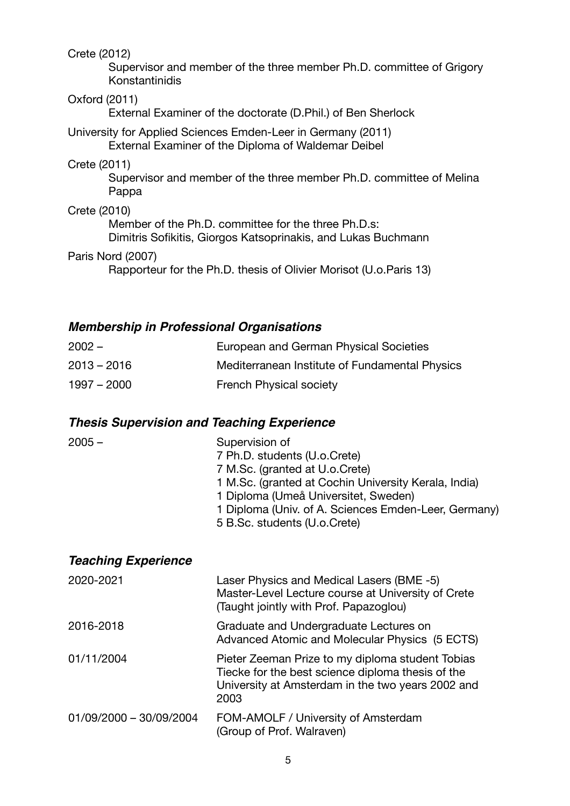Crete (2012)

Supervisor and member of the three member Ph.D. committee of Grigory Konstantinidis

#### Oxford (2011)

External Examiner of the doctorate (D.Phil.) of Ben Sherlock

#### [University for Applied Sciences Emden-Leer](http://www.fh-oow.de/index_el.php) in Germany (2011) External Examiner of the Diploma of Waldemar Deibel

#### Crete (2011)

Supervisor and member of the three member Ph.D. committee of Melina Pappa

#### Crete (2010)

Member of the Ph.D. committee for the three Ph.D.s: Dimitris Sofikitis, Giorgos Katsoprinakis, and Lukas Buchmann

#### Paris Nord (2007)

Rapporteur for the Ph.D. thesis of Olivier Morisot (U.o.Paris 13)

## *Membership in Professional Organisations*

| $2002 -$      | European and German Physical Societies         |
|---------------|------------------------------------------------|
| $2013 - 2016$ | Mediterranean Institute of Fundamental Physics |
| $1997 - 2000$ | <b>French Physical society</b>                 |

## *Thesis Supervision and Teaching Experience*

| $2005 -$                   | Supervision of<br>7 Ph.D. students (U.o.Crete)<br>7 M.Sc. (granted at U.o.Crete)<br>1 M.Sc. (granted at Cochin University Kerala, India)<br>1 Diploma (Umeå Universitet, Sweden)<br>1 Diploma (Univ. of A. Sciences Emden-Leer, Germany)<br>5 B.Sc. students (U.o.Crete) |
|----------------------------|--------------------------------------------------------------------------------------------------------------------------------------------------------------------------------------------------------------------------------------------------------------------------|
| <b>Teaching Experience</b> |                                                                                                                                                                                                                                                                          |
| 2020-2021                  | Laser Physics and Medical Lasers (BME -5)<br>Master-Level Lecture course at University of Crete<br>(Taught jointly with Prof. Papazoglou)                                                                                                                                |
| 2016-2018                  | Graduate and Undergraduate Lectures on<br>Advanced Atomic and Molecular Physics (5 ECTS)                                                                                                                                                                                 |
| 01/11/2004                 | Pieter Zeeman Prize to my diploma student Tobias<br>Tiecke for the best science diploma thesis of the<br>University at Amsterdam in the two years 2002 and<br>2003                                                                                                       |
|                            |                                                                                                                                                                                                                                                                          |

01/09/2000 – 30/09/2004 FOM-AMOLF / University of Amsterdam (Group of Prof. Walraven)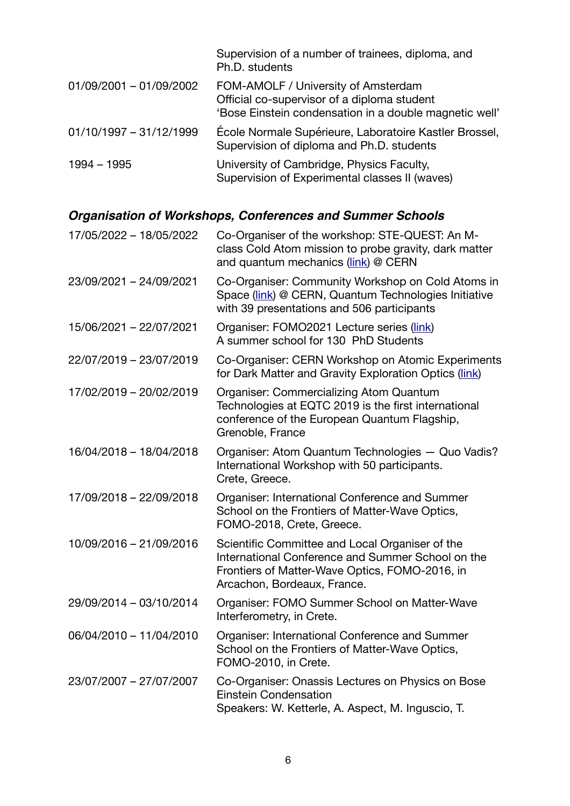|                           | Supervision of a number of trainees, diploma, and<br>Ph.D. students                                                                          |
|---------------------------|----------------------------------------------------------------------------------------------------------------------------------------------|
| 01/09/2001 - 01/09/2002   | FOM-AMOLF / University of Amsterdam<br>Official co-supervisor of a diploma student<br>'Bose Einstein condensation in a double magnetic well' |
| $01/10/1997 - 31/12/1999$ | École Normale Supérieure, Laboratoire Kastler Brossel,<br>Supervision of diploma and Ph.D. students                                          |
| 1994 - 1995               | University of Cambridge, Physics Faculty,<br>Supervision of Experimental classes II (waves)                                                  |

# *Organisation of Workshops, Conferences and Summer Schools*

| 17/05/2022 - 18/05/2022 | Co-Organiser of the workshop: STE-QUEST: An M-<br>class Cold Atom mission to probe gravity, dark matter<br>and quantum mechanics (link) @ CERN                                        |
|-------------------------|---------------------------------------------------------------------------------------------------------------------------------------------------------------------------------------|
| 23/09/2021 - 24/09/2021 | Co-Organiser: Community Workshop on Cold Atoms in<br>Space (link) @ CERN, Quantum Technologies Initiative<br>with 39 presentations and 506 participants                               |
| 15/06/2021 - 22/07/2021 | Organiser: FOMO2021 Lecture series (link)<br>A summer school for 130 PhD Students                                                                                                     |
| 22/07/2019 - 23/07/2019 | Co-Organiser: CERN Workshop on Atomic Experiments<br>for Dark Matter and Gravity Exploration Optics (link)                                                                            |
| 17/02/2019 - 20/02/2019 | <b>Organiser: Commercializing Atom Quantum</b><br>Technologies at EQTC 2019 is the first international<br>conference of the European Quantum Flagship,<br>Grenoble, France            |
| 16/04/2018 - 18/04/2018 | Organiser: Atom Quantum Technologies - Quo Vadis?<br>International Workshop with 50 participants.<br>Crete, Greece.                                                                   |
| 17/09/2018 - 22/09/2018 | Organiser: International Conference and Summer<br>School on the Frontiers of Matter-Wave Optics,<br>FOMO-2018, Crete, Greece.                                                         |
| 10/09/2016 - 21/09/2016 | Scientific Committee and Local Organiser of the<br>International Conference and Summer School on the<br>Frontiers of Matter-Wave Optics, FOMO-2016, in<br>Arcachon, Bordeaux, France. |
| 29/09/2014 - 03/10/2014 | Organiser: FOMO Summer School on Matter-Wave<br>Interferometry, in Crete.                                                                                                             |
| 06/04/2010 - 11/04/2010 | Organiser: International Conference and Summer<br>School on the Frontiers of Matter-Wave Optics,<br>FOMO-2010, in Crete.                                                              |
| 23/07/2007 - 27/07/2007 | Co-Organiser: Onassis Lectures on Physics on Bose<br><b>Einstein Condensation</b><br>Speakers: W. Ketterle, A. Aspect, M. Inguscio, T.                                                |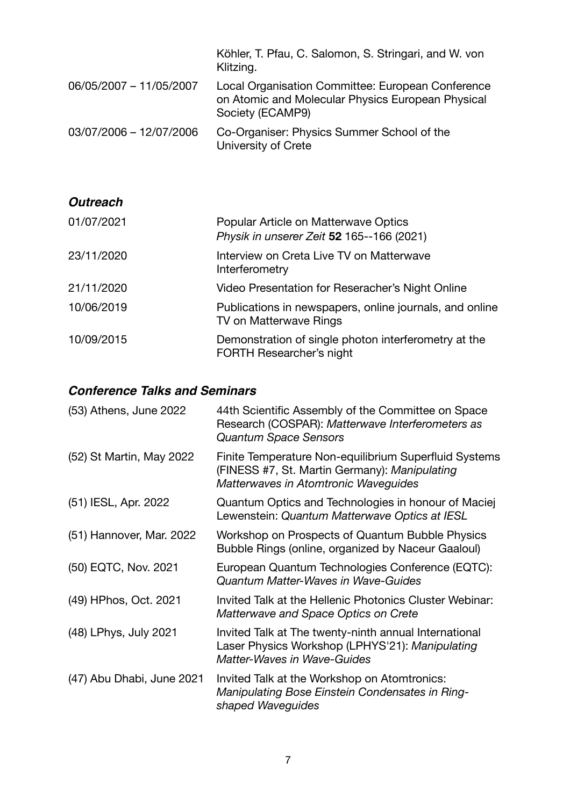|                         | Köhler, T. Pfau, C. Salomon, S. Stringari, and W. von<br>Klitzing.                                                         |
|-------------------------|----------------------------------------------------------------------------------------------------------------------------|
| 06/05/2007 - 11/05/2007 | Local Organisation Committee: European Conference<br>on Atomic and Molecular Physics European Physical<br>Society (ECAMP9) |
| 03/07/2006 - 12/07/2006 | Co-Organiser: Physics Summer School of the<br>University of Crete                                                          |
|                         |                                                                                                                            |
| <b>Outreach</b>         |                                                                                                                            |
| 01/07/2021              | Popular Article on Matterwave Optics<br>Physik in unserer Zeit 52 165--166 (2021)                                          |
| 23/11/2020              | Interview on Creta Live TV on Matterwave<br>Interferometry                                                                 |
| 21/11/2020              | Video Presentation for Reseracher's Night Online                                                                           |
| 10/06/2019              | Publications in newspapers, online journals, and online<br>TV on Matterwave Rings                                          |
| 10/09/2015              | Demonstration of single photon interferometry at the<br><b>FORTH Researcher's night</b>                                    |

## *Conference Talks and Seminars*

| (53) Athens, June 2022    | 44th Scientific Assembly of the Committee on Space<br>Research (COSPAR): Matterwave Interferometers as<br><b>Quantum Space Sensors</b>         |
|---------------------------|------------------------------------------------------------------------------------------------------------------------------------------------|
| (52) St Martin, May 2022  | Finite Temperature Non-equilibrium Superfluid Systems<br>(FINESS #7, St. Martin Germany): Manipulating<br>Matterwaves in Atomtronic Waveguides |
| (51) IESL, Apr. 2022      | Quantum Optics and Technologies in honour of Maciej<br>Lewenstein: Quantum Matterwave Optics at IESL                                           |
| (51) Hannover, Mar. 2022  | Workshop on Prospects of Quantum Bubble Physics<br>Bubble Rings (online, organized by Naceur Gaaloul)                                          |
| (50) EQTC, Nov. 2021      | European Quantum Technologies Conference (EQTC):<br><b>Quantum Matter-Waves in Wave-Guides</b>                                                 |
| (49) HPhos, Oct. 2021     | Invited Talk at the Hellenic Photonics Cluster Webinar:<br>Matterwave and Space Optics on Crete                                                |
| (48) LPhys, July 2021     | Invited Talk at The twenty-ninth annual International<br>Laser Physics Workshop (LPHYS'21): Manipulating<br><b>Matter-Waves in Wave-Guides</b> |
| (47) Abu Dhabi, June 2021 | Invited Talk at the Workshop on Atomtronics:<br>Manipulating Bose Einstein Condensates in Ring-<br>shaped Waveguides                           |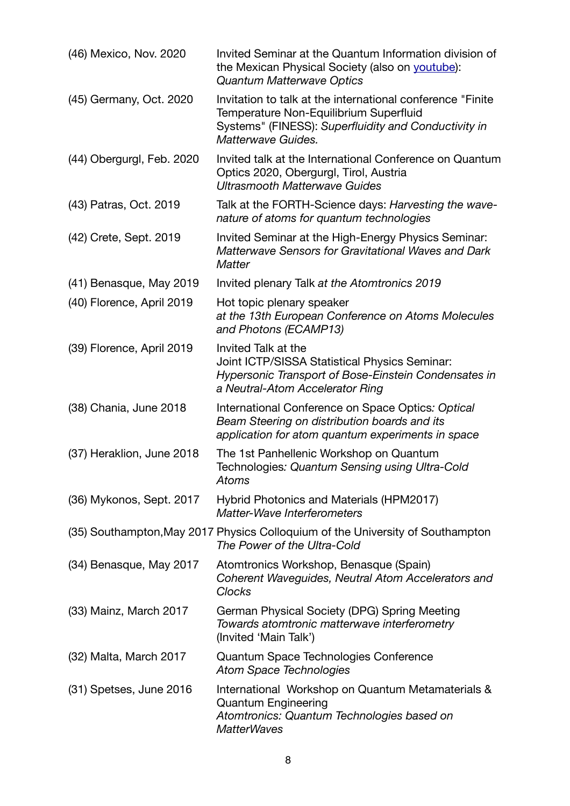| (46) Mexico, Nov. 2020    | Invited Seminar at the Quantum Information division of<br>the Mexican Physical Society (also on youtube):<br><b>Quantum Matterwave Optics</b>                                       |
|---------------------------|-------------------------------------------------------------------------------------------------------------------------------------------------------------------------------------|
| (45) Germany, Oct. 2020   | Invitation to talk at the international conference "Finite"<br>Temperature Non-Equilibrium Superfluid<br>Systems" (FINESS): Superfluidity and Conductivity in<br>Matterwave Guides. |
| (44) Obergurgl, Feb. 2020 | Invited talk at the International Conference on Quantum<br>Optics 2020, Obergurgl, Tirol, Austria<br><b>Ultrasmooth Matterwave Guides</b>                                           |
| (43) Patras, Oct. 2019    | Talk at the FORTH-Science days: Harvesting the wave-<br>nature of atoms for quantum technologies                                                                                    |
| (42) Crete, Sept. 2019    | Invited Seminar at the High-Energy Physics Seminar:<br>Matterwave Sensors for Gravitational Waves and Dark<br><b>Matter</b>                                                         |
| (41) Benasque, May 2019   | Invited plenary Talk at the Atomtronics 2019                                                                                                                                        |
| (40) Florence, April 2019 | Hot topic plenary speaker<br>at the 13th European Conference on Atoms Molecules<br>and Photons (ECAMP13)                                                                            |
| (39) Florence, April 2019 | Invited Talk at the<br>Joint ICTP/SISSA Statistical Physics Seminar:<br>Hypersonic Transport of Bose-Einstein Condensates in<br>a Neutral-Atom Accelerator Ring                     |
| (38) Chania, June 2018    | International Conference on Space Optics: Optical<br>Beam Steering on distribution boards and its<br>application for atom quantum experiments in space                              |
| (37) Heraklion, June 2018 | The 1st Panhellenic Workshop on Quantum<br>Technologies: Quantum Sensing using Ultra-Cold<br>Atoms                                                                                  |
| (36) Mykonos, Sept. 2017  | Hybrid Photonics and Materials (HPM2017)<br>Matter-Wave Interferometers                                                                                                             |
|                           | (35) Southampton, May 2017 Physics Colloquium of the University of Southampton<br>The Power of the Ultra-Cold                                                                       |
| (34) Benasque, May 2017   | Atomtronics Workshop, Benasque (Spain)<br>Coherent Waveguides, Neutral Atom Accelerators and<br><b>Clocks</b>                                                                       |
| (33) Mainz, March 2017    | German Physical Society (DPG) Spring Meeting<br>Towards atomtronic matterwave interferometry<br>(Invited 'Main Talk')                                                               |
| (32) Malta, March 2017    | Quantum Space Technologies Conference<br><b>Atom Space Technologies</b>                                                                                                             |
| (31) Spetses, June 2016   | International Workshop on Quantum Metamaterials &<br><b>Quantum Engineering</b><br>Atomtronics: Quantum Technologies based on<br><b>MatterWaves</b>                                 |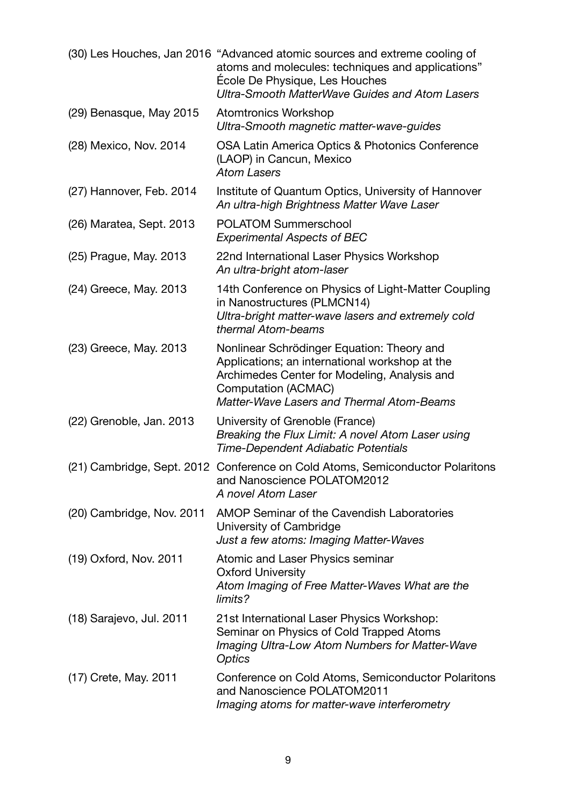|                           | (30) Les Houches, Jan 2016 "Advanced atomic sources and extreme cooling of<br>atoms and molecules: techniques and applications"<br>Ecole De Physique, Les Houches<br><b>Ultra-Smooth MatterWave Guides and Atom Lasers</b> |
|---------------------------|----------------------------------------------------------------------------------------------------------------------------------------------------------------------------------------------------------------------------|
| (29) Benasque, May 2015   | <b>Atomtronics Workshop</b><br>Ultra-Smooth magnetic matter-wave-guides                                                                                                                                                    |
| (28) Mexico, Nov. 2014    | OSA Latin America Optics & Photonics Conference<br>(LAOP) in Cancun, Mexico<br><b>Atom Lasers</b>                                                                                                                          |
| (27) Hannover, Feb. 2014  | Institute of Quantum Optics, University of Hannover<br>An ultra-high Brightness Matter Wave Laser                                                                                                                          |
| (26) Maratea, Sept. 2013  | <b>POLATOM Summerschool</b><br><b>Experimental Aspects of BEC</b>                                                                                                                                                          |
| (25) Prague, May. 2013    | 22nd International Laser Physics Workshop<br>An ultra-bright atom-laser                                                                                                                                                    |
| (24) Greece, May. 2013    | 14th Conference on Physics of Light-Matter Coupling<br>in Nanostructures (PLMCN14)<br>Ultra-bright matter-wave lasers and extremely cold<br>thermal Atom-beams                                                             |
| (23) Greece, May. 2013    | Nonlinear Schrödinger Equation: Theory and<br>Applications; an international workshop at the<br>Archimedes Center for Modeling, Analysis and<br>Computation (ACMAC)<br><b>Matter-Wave Lasers and Thermal Atom-Beams</b>    |
| (22) Grenoble, Jan. 2013  | University of Grenoble (France)<br>Breaking the Flux Limit: A novel Atom Laser using<br>Time-Dependent Adiabatic Potentials                                                                                                |
|                           | (21) Cambridge, Sept. 2012 Conference on Cold Atoms, Semiconductor Polaritons<br>and Nanoscience POLATOM2012<br>A novel Atom Laser                                                                                         |
| (20) Cambridge, Nov. 2011 | AMOP Seminar of the Cavendish Laboratories<br>University of Cambridge<br>Just a few atoms: Imaging Matter-Waves                                                                                                            |
| (19) Oxford, Nov. 2011    | Atomic and Laser Physics seminar<br><b>Oxford University</b><br>Atom Imaging of Free Matter-Waves What are the<br>limits?                                                                                                  |
| (18) Sarajevo, Jul. 2011  | 21st International Laser Physics Workshop:<br>Seminar on Physics of Cold Trapped Atoms<br>Imaging Ultra-Low Atom Numbers for Matter-Wave<br>Optics                                                                         |
| (17) Crete, May. 2011     | Conference on Cold Atoms, Semiconductor Polaritons<br>and Nanoscience POLATOM2011<br>Imaging atoms for matter-wave interferometry                                                                                          |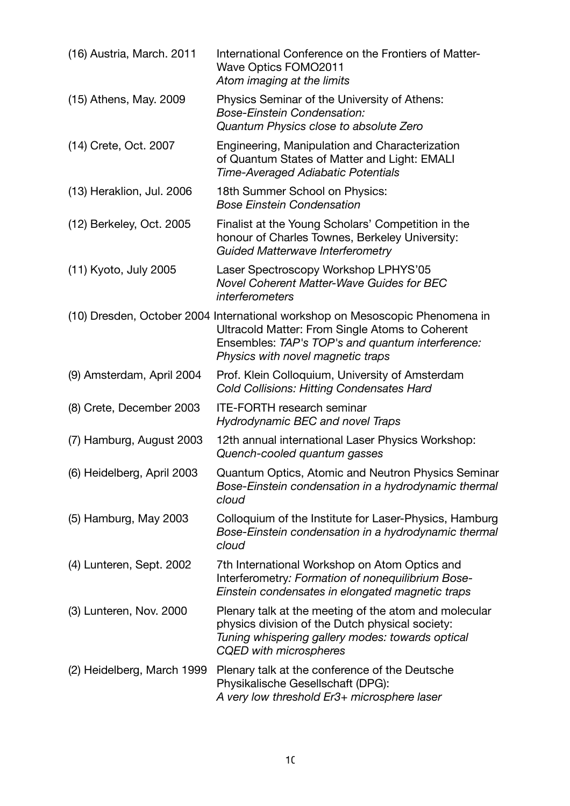| (16) Austria, March. 2011  | International Conference on the Frontiers of Matter-<br><b>Wave Optics FOMO2011</b><br>Atom imaging at the limits                                                                                                        |
|----------------------------|--------------------------------------------------------------------------------------------------------------------------------------------------------------------------------------------------------------------------|
| (15) Athens, May. 2009     | Physics Seminar of the University of Athens:<br><b>Bose-Einstein Condensation:</b><br>Quantum Physics close to absolute Zero                                                                                             |
| (14) Crete, Oct. 2007      | Engineering, Manipulation and Characterization<br>of Quantum States of Matter and Light: EMALI<br><b>Time-Averaged Adiabatic Potentials</b>                                                                              |
| (13) Heraklion, Jul. 2006  | 18th Summer School on Physics:<br><b>Bose Einstein Condensation</b>                                                                                                                                                      |
| (12) Berkeley, Oct. 2005   | Finalist at the Young Scholars' Competition in the<br>honour of Charles Townes, Berkeley University:<br><b>Guided Matterwave Interferometry</b>                                                                          |
| (11) Kyoto, July 2005      | Laser Spectroscopy Workshop LPHYS'05<br>Novel Coherent Matter-Wave Guides for BEC<br>interferometers                                                                                                                     |
|                            | (10) Dresden, October 2004 International workshop on Mesoscopic Phenomena in<br>Ultracold Matter: From Single Atoms to Coherent<br>Ensembles: TAP's TOP's and quantum interference:<br>Physics with novel magnetic traps |
| (9) Amsterdam, April 2004  | Prof. Klein Colloquium, University of Amsterdam<br><b>Cold Collisions: Hitting Condensates Hard</b>                                                                                                                      |
| (8) Crete, December 2003   | <b>ITE-FORTH research seminar</b><br><b>Hydrodynamic BEC and novel Traps</b>                                                                                                                                             |
| (7) Hamburg, August 2003   | 12th annual international Laser Physics Workshop:<br>Quench-cooled quantum gasses                                                                                                                                        |
| (6) Heidelberg, April 2003 | Quantum Optics, Atomic and Neutron Physics Seminar<br>Bose-Einstein condensation in a hydrodynamic thermal<br>cloud                                                                                                      |
| (5) Hamburg, May 2003      | Colloquium of the Institute for Laser-Physics, Hamburg<br>Bose-Einstein condensation in a hydrodynamic thermal<br>cloud                                                                                                  |
| (4) Lunteren, Sept. 2002   | 7th International Workshop on Atom Optics and<br>Interferometry: Formation of nonequilibrium Bose-<br>Einstein condensates in elongated magnetic traps                                                                   |
| (3) Lunteren, Nov. 2000    | Plenary talk at the meeting of the atom and molecular<br>physics division of the Dutch physical society:<br>Tuning whispering gallery modes: towards optical<br><b>CQED</b> with microspheres                            |
| (2) Heidelberg, March 1999 | Plenary talk at the conference of the Deutsche<br>Physikalische Gesellschaft (DPG):<br>A very low threshold Er3+ microsphere laser                                                                                       |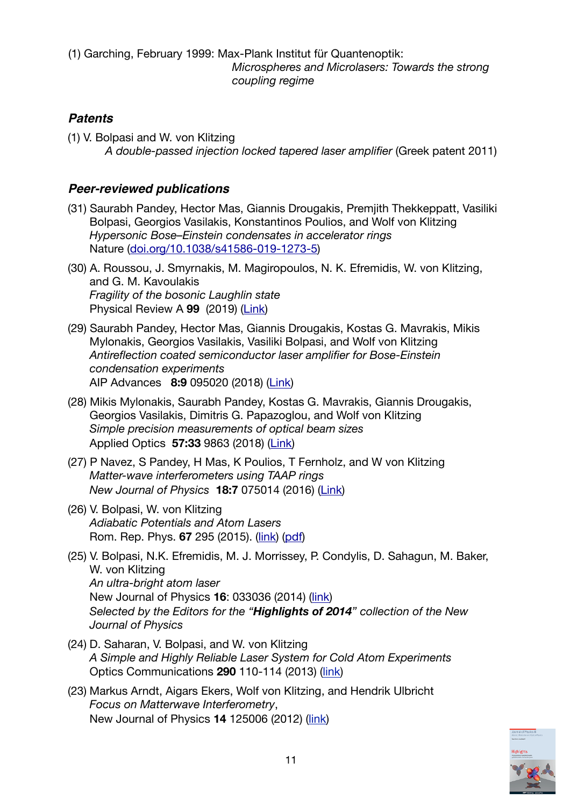(1) Garching, February 1999: Max-Plank Institut für Quantenoptik: *Microspheres and Microlasers: Towards the strong coupling regime* 

## *Patents*

(1) V. Bolpasi and W. von Klitzing *A double-passed injection locked tapered laser amplifier* (Greek patent 2011)

## *Peer-reviewed publications*

- (31) Saurabh Pandey, Hector Mas, Giannis Drougakis, Premjith Thekkeppatt, Vasiliki Bolpasi, Georgios Vasilakis, Konstantinos Poulios, and Wolf von Klitzing *Hypersonic Bose–Einstein condensates in accelerator rings*  Nature ([doi.org/10.1038/s41586-019-1273-5](http://doi.org/10.1038/s41586-019-1273-5))
- (30) A. Roussou, J. Smyrnakis, M. Magiropoulos, N. K. Efremidis, W. von Klitzing, and G. M. Kavoulakis *Fragility of the bosonic Laughlin state*  Physical Review A **99** (2019) [\(Link](https://doi.org/10.1103/PhysRevA.99.053613))
- (29) Saurabh Pandey, Hector Mas, Giannis Drougakis, Kostas G. Mavrakis, Mikis Mylonakis, Georgios Vasilakis, Vasiliki Bolpasi, and Wolf von Klitzing *Antireflection coated semiconductor laser amplifier for Bose-Einstein condensation experiments*  AIP Advances **8:9** 095020 (2018) [\(Link](https://doi.org/10.1063/1.5047839))
- (28) Mikis Mylonakis, Saurabh Pandey, Kostas G. Mavrakis, Giannis Drougakis, Georgios Vasilakis, Dimitris G. Papazoglou, and Wolf von Klitzing *Simple precision measurements of optical beam sizes* Applied Optics **57:33** 9863 (2018) [\(Link\)](http://dx.doi.org/10.1364/AO.57.009863)
- (27) P Navez, S Pandey, H Mas, K Poulios, T Fernholz, and W von Klitzing *Matter-wave interferometers using TAAP rings New Journal of Physics* **18:7** 075014 (2016) ([Link\)](http://dx.doi.org/10.1088/1367-2630/18/7/075014)
- (26) V. Bolpasi, W. von Klitzing *Adiabatic Potentials and Atom Lasers* Rom. Rep. Phys. **67** 295 (2015). ([link](http://rrp.infim.ro/2015_67_1.html)) ([pdf](http://www.bec.gr/publication/images/2015/15RRMP%20Adiabatic%20Potentials%20And%20Atom%20Lasers.pdf))
- (25) V. Bolpasi, N.K. Efremidis, M. J. Morrissey, P. Condylis, D. Sahagun, M. Baker, W. von Klitzing *An ultra-bright atom laser* New Journal of Physics **16**: 033036 (2014) ([link\)](http://dx.doi.org/10.1088/1367-2630/16/3/033036) *Selected by the Editors for the "Highlights of 2014" collection of the New Journal of Physics*
- (24) D. Saharan, V. Bolpasi, and W. von Klitzing *A Simple and Highly Reliable Laser System for Cold Atom Experiments* Optics Communications **290** 110-114 (2013) [\(link](http://dx.doi.org/10.1016/j.optcom.2012.10.013))
- (23) Markus Arndt, Aigars Ekers, Wolf von Klitzing, and Hendrik Ulbricht *Focus on Matterwave Interferometry*, New Journal of Physics **14** 125006 (2012) [\(link](http://dx.doi.org/10.1088/1367-2630/14/12/125006))

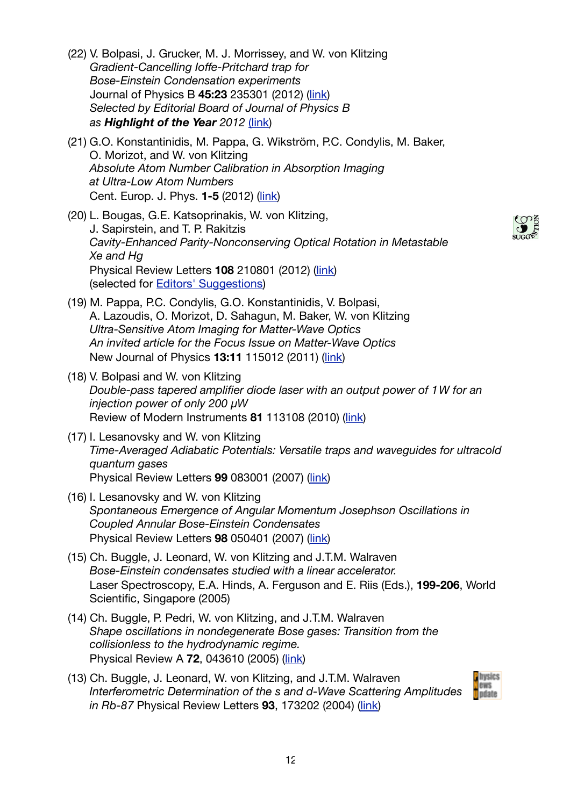- (22) V. Bolpasi, J. Grucker, M. J. Morrissey, and W. von Klitzing *Gradient-Cancelling Ioffe-Pritchard trap for Bose-Einstein Condensation experiments* Journal of Physics B **45:23** 235301 (2012) [\(link](http://dx.doi.org/10.1088/0953-4075/45/23/235301)) *Selected by Editorial Board of Journal of Physics B as Highlight of the Year 2012* [\(link\)](http://iopscience.iop.org/0953-4075/page/Highlights%20of%202012)
- (21) G.O. Konstantinidis, M. Pappa, G. Wikström, P.C. Condylis, M. Baker, O. Morizot, and W. von Klitzing *Absolute Atom Number Calibration in Absorption Imaging at Ultra-Low Atom Numbers* Cent. Europ. J. Phys. **1-5** (2012) [\(link](http://dx.doi.org/10.2478/s11534-012-0108-x))
- (20) L. Bougas, G.E. Katsoprinakis, W. von Klitzing, J. Sapirstein, and T. P. Rakitzis *Cavity-Enhanced Parity-Nonconserving Optical Rotation in Metastable Xe and Hg* Physical Review Letters **108** 210801 (2012) [\(link](http://dx.doi.org/10.1103/PhysRevLett.108.210801)) (selected for [Editors' Suggestions](http://prl.aps.org/edannounce/PhysRevLett.98.010001))
- (19) M. Pappa, P.C. Condylis, G.O. Konstantinidis, V. Bolpasi, A. Lazoudis, O. Morizot, D. Sahagun, M. Baker, W. von Klitzing *Ultra-Sensitive Atom Imaging for Matter-Wave Optics An invited article for the Focus Issue on Matter-Wave Optics* New Journal of Physics **13:11** 115012 (2011) ([link](http://dx.doi.org/10.1088/1367-2630/13/11/115012))
- (18) V. Bolpasi and W. von Klitzing *Double-pass tapered amplifier diode laser with an output power of 1W for an injection power of only 200 μW* Review of Modern Instruments **81** 113108 (2010) ([link\)](http://dx.doi.org/10.1063/1.3501966)
- (17) I. Lesanovsky and W. von Klitzing *Time-Averaged Adiabatic Potentials: Versatile traps and waveguides for ultracold quantum gases* Physical Review Letters **99** 083001 (2007) ([link\)](http://dx.doi.org/10.1103/PhysRevLett.99.083001)
- (16) I. Lesanovsky and W. von Klitzing *Spontaneous Emergence of Angular Momentum Josephson Oscillations in Coupled Annular Bose-Einstein Condensates*  Physical Review Letters **98** 050401 (2007) ([link\)](http://dx.doi.org/10.1103/PhysRevLett.98.050401)
- (15) Ch. Buggle, J. Leonard, W. von Klitzing and J.T.M. Walraven *Bose-Einstein condensates studied with a linear accelerator.*  Laser Spectroscopy, E.A. Hinds, A. Ferguson and E. Riis (Eds.), **199-206**, World Scientific, Singapore (2005)
- (14) Ch. Buggle, P. Pedri, W. von Klitzing, and J.T.M. Walraven *Shape oscillations in nondegenerate Bose gases: Transition from the collisionless to the hydrodynamic regime.*  Physical Review A **72**, 043610 (2005) ([link\)](http://dx.doi.org/10.1103/PhysRevA.72.043610)
- (13) Ch. Buggle, J. Leonard, W. von Klitzing, and J.T.M. Walraven *Interferometric Determination of the s and d-Wave Scattering Amplitudes in Rb-87* Physical Review Letters **93**, 173202 (2004) [\(link\)](http://dx.doi.org/10.1103/PhysRevLett.93.173202)



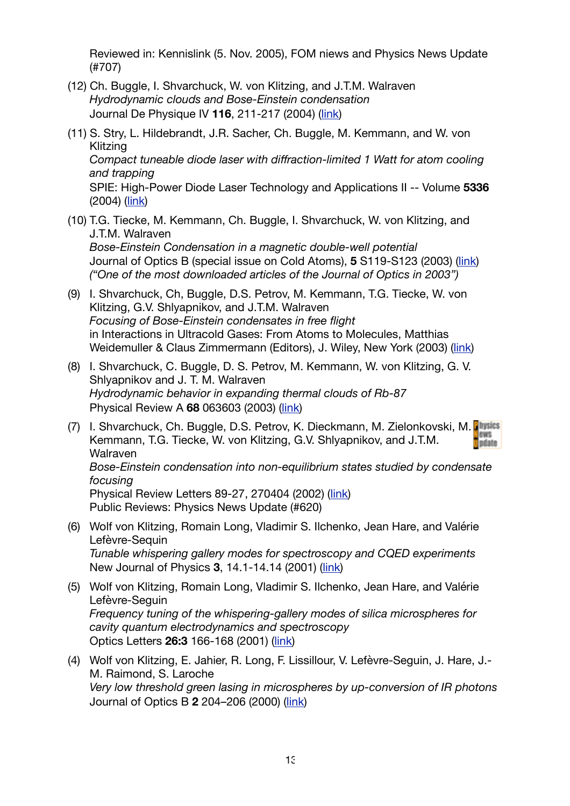Reviewed in: [Kennislink](http://www.kennislink.nl) (5. Nov. 2005), [FOM niews](http://www.fom.nl/nieuws/oznieuws2004/04kortoz08.html) and [Physics News Update](http://www.aip.org/pnu/2004/split/707-1.html) (#707)

- (12) Ch. Buggle, I. Shvarchuck, W. von Klitzing, and J.T.M. Walraven *Hydrodynamic clouds and Bose-Einstein condensation*  Journal De Physique IV **116**, 211-217 (2004) [\(link\)](http://dx.doi.org/10.1051/jp4:2004116008)
- (11) S. Stry, L. Hildebrandt, J.R. Sacher, Ch. Buggle, M. Kemmann, and W. von Klitzing *Compact tuneable diode laser with diffraction-limited 1 Watt for atom cooling and trapping* SPIE: High-Power Diode Laser Technology and Applications II -- Volume **5336** (2004) ([link](http://dx.doi.org/10.1117/12.525059))
- (10) T.G. Tiecke, M. Kemmann, Ch. Buggle, I. Shvarchuck, W. von Klitzing, and J.T.M. Walraven *Bose-Einstein Condensation in a magnetic double-well potential*  Journal of Optics B (special issue on Cold Atoms), **5** S119-S123 (2003) ([link\)](http://dx.doi.org/10.1088/1464-4266/5/2/368) *("One of the most downloaded articles of the Journal of Optics in 2003")*
- (9) I. Shvarchuck, Ch, Buggle, D.S. Petrov, M. Kemmann, T.G. Tiecke, W. von Klitzing, G.V. Shlyapnikov, and J.T.M. Walraven *Focusing of Bose-Einstein condensates in free flight*  in Interactions in Ultracold Gases: From Atoms to Molecules, Matthias Weidemuller & Claus Zimmermann (Editors), J. Wiley, New York (2003) ([link\)](http://books.google.gr/books?id=OAhXN7iLlK4C&lpg=PA415&ots=OLn-59uFw7&dq=Focusing%20of%20Bose-Einstein%20condensates%20in%20free%20flight%20%E2%80%A8in%20Interactions%20in%20Ultracold%20Gases:%20From%20Atoms%20to%20Molecules,%20Matthias%20Weidemuller&pg=PA415%23v=onepage&q&f=false)
- (8) I. Shvarchuck, C. Buggle, D. S. Petrov, M. Kemmann, W. von Klitzing, G. V. Shlyapnikov and J. T. M. Walraven *Hydrodynamic behavior in expanding thermal clouds of Rb-87*  Physical Review A **68** 063603 (2003) [\(link](http://dx.doi.org/10.1103/PhysRevA.68.063603))
- (7) I. Shvarchuck, Ch. Buggle, D.S. Petrov, K. Dieckmann, M. Zielonkovski, M. **BWS** Kemmann, T.G. Tiecke, W. von Klitzing, G.V. Shlyapnikov, and J.T.M. **n** pdate Walraven *Bose-Einstein condensation into non-equilibrium states studied by condensate focusing* Physical Review Letters 89-27, 270404 (2002) ([link](http://dx.doi.org/10.1103/PhysRevLett.89.270404)) Public Reviews: [Physics News Update](http://www.aip.org/pnu/2003/split/620-2.html) (#620)
- (6) Wolf von Klitzing, Romain Long, Vladimir S. Ilchenko, Jean Hare, and Valérie Lefèvre-Sequin *Tunable whispering gallery modes for spectroscopy and CQED experiments*  New Journal of Physics **3**, 14.1-14.14 (2001) ([link](http://dx.doi.org/10.1088/1367-2630/3/1/314))
- (5) Wolf von Klitzing, Romain Long, Vladimir S. Ilchenko, Jean Hare, and Valérie Lefèvre-Seguin *Frequency tuning of the whispering-gallery modes of silica microspheres for cavity quantum electrodynamics and spectroscopy*  Optics Letters **26:3** 166-168 (2001) ([link\)](http://dx.doi.org/10.1364/OL.26.000166)
- (4) Wolf von Klitzing, E. Jahier, R. Long, F. Lissillour, V. Lefèvre-Seguin, J. Hare, J.- M. Raimond, S. Laroche *Very low threshold green lasing in microspheres by up-conversion of IR photons* Journal of Optics B **2** 204–206 (2000) [\(link](http://dx.doi.org/10.1088/1464-4266/2/2/324))